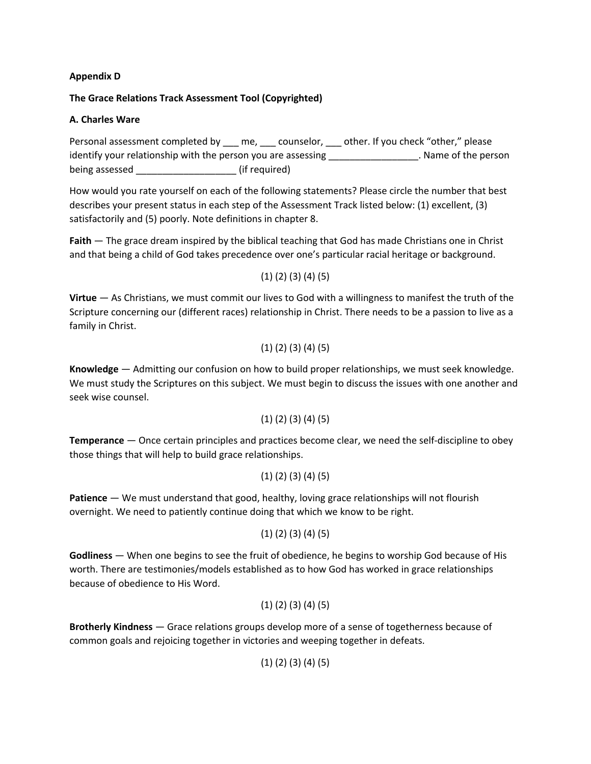## **Appendix D**

## **The Grace Relations Track Assessment Tool (Copyrighted)**

## **A. Charles Ware**

Personal assessment completed by \_\_\_ me, \_\_\_ counselor, \_\_\_ other. If you check "other," please identify your relationship with the person you are assessing \_\_\_\_\_\_\_\_\_\_\_\_\_\_\_\_\_\_\_. Name of the person being assessed \_\_\_\_\_\_\_\_\_\_\_\_\_\_\_\_\_\_\_\_\_\_\_ (if required)

How would you rate yourself on each of the following statements? Please circle the number that best describes your present status in each step of the Assessment Track listed below: (1) excellent, (3) satisfactorily and (5) poorly. Note definitions in chapter 8.

**Faith** — The grace dream inspired by the biblical teaching that God has made Christians one in Christ and that being a child of God takes precedence over one's particular racial heritage or background.

## (1) (2) (3) (4) (5)

**Virtue** — As Christians, we must commit our lives to God with a willingness to manifest the truth of the Scripture concerning our (different races) relationship in Christ. There needs to be a passion to live as a family in Christ.

## (1) (2) (3) (4) (5)

**Knowledge** — Admitting our confusion on how to build proper relationships, we must seek knowledge. We must study the Scriptures on this subject. We must begin to discuss the issues with one another and seek wise counsel.

# (1) (2) (3) (4) (5)

**Temperance** — Once certain principles and practices become clear, we need the self-discipline to obey those things that will help to build grace relationships.

#### (1) (2) (3) (4) (5)

**Patience** — We must understand that good, healthy, loving grace relationships will not flourish overnight. We need to patiently continue doing that which we know to be right.

#### (1) (2) (3) (4) (5)

**Godliness** — When one begins to see the fruit of obedience, he begins to worship God because of His worth. There are testimonies/models established as to how God has worked in grace relationships because of obedience to His Word.

#### (1) (2) (3) (4) (5)

**Brotherly Kindness** — Grace relations groups develop more of a sense of togetherness because of common goals and rejoicing together in victories and weeping together in defeats.

(1) (2) (3) (4) (5)